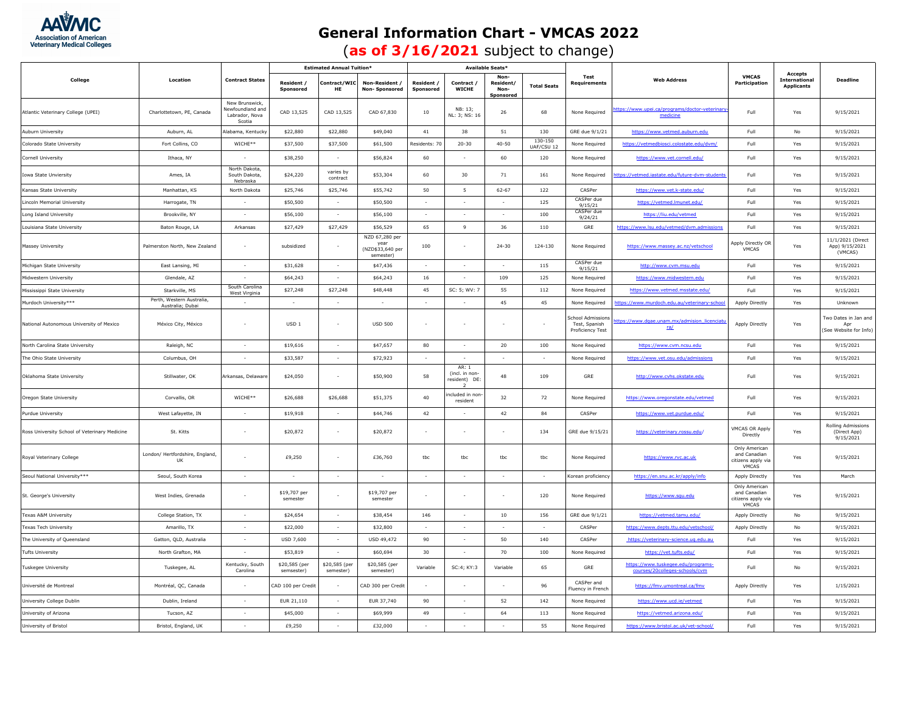

## **General Information Chart - VMCAS 2022**

(**as of 3/16/2021** subject to change)

| College                                       | Location                                      |                                                                | <b>Estimated Annual Tuition*</b> |                            |                                                        | Available Seats*             |                                        |                                        |                       |                                                             |                                                                      |                                                              |                                                      |                                                       |
|-----------------------------------------------|-----------------------------------------------|----------------------------------------------------------------|----------------------------------|----------------------------|--------------------------------------------------------|------------------------------|----------------------------------------|----------------------------------------|-----------------------|-------------------------------------------------------------|----------------------------------------------------------------------|--------------------------------------------------------------|------------------------------------------------------|-------------------------------------------------------|
|                                               |                                               | <b>Contract States</b>                                         | Resident /<br>Sponsored          | Contract/WIO<br>HE         | <b>Non-Resident</b><br>Non-Sponsored                   | <b>Resident</b><br>Sponsored | Contract /<br><b>WICHE</b>             | Non-<br>Resident/<br>Non-<br>Sponsored | <b>Total Seats</b>    | Test<br>Requirements                                        | <b>Web Address</b>                                                   | <b>VMCAS</b><br>Participation                                | Accepts<br><b>International</b><br><b>Applicants</b> | <b>Deadline</b>                                       |
| Atlantic Veterinary College (UPEI)            | Charlottetown, PE, Canada                     | New Brunswick,<br>Newfoundland and<br>Labrador, Nova<br>Scotia | CAD 13,525                       | CAD 13,525                 | CAD 67,830                                             | 10                           | NB: 13;<br>NL: 3: NS: 16               | 26                                     | 68                    | None Required                                               | ttps://www.upei.ca/programs/doctor-veterinary<br>medicine            | Full                                                         | Yes                                                  | 9/15/2021                                             |
| Auburn University                             | Auburn, AL                                    | Alabama, Kentucky                                              | \$22,880                         | \$22,880                   | \$49,040                                               | 41                           | 38                                     | 51                                     | 130                   | GRE due 9/1/21                                              | https://www.vetmed.auburn.edu                                        | Full                                                         | No                                                   | 9/15/2021                                             |
| Colorado State University                     | Fort Collins, CO                              | WICHE**                                                        | \$37,500                         | \$37,500                   | \$61,500                                               | Residents: 70                | $20 - 30$                              | $40 - 50$                              | 130-150<br>UAF/CSU 12 | None Required                                               | https://vetmedbiosci.colostate.edu/dvm/                              | Full                                                         | Yes                                                  | 9/15/2021                                             |
| Cornell University                            | Ithaca, NY                                    |                                                                | \$38,250                         | $\sim$                     | \$56,824                                               | 60                           | $\sim$                                 | 60                                     | 120                   | None Required                                               | https://www.vet.cornell.edu/                                         | Full                                                         | Yes                                                  | 9/15/2021                                             |
| Iowa State Unviersity                         | Ames, IA                                      | North Dakota,<br>South Dakota,<br>Nebraska                     | \$24,220                         | varies hy<br>contract      | \$53,304                                               | 60                           | 30                                     | 71                                     | 161                   | None Required                                               | tps://vetmed.iastate.edu/future-dym-studen                           | Full                                                         | Yes                                                  | 9/15/2021                                             |
| Kansas State University                       | Manhattan, KS                                 | North Dakota                                                   | \$25,746                         | \$25,746                   | \$55,742                                               | 50                           | $5\overline{5}$                        | $62 - 67$                              | 122                   | CASPer                                                      | https://www.vet.k-state.edu/                                         | Full                                                         | Yes                                                  | 9/15/2021                                             |
| Lincoln Memorial University                   | Harrogate, TN                                 |                                                                | \$50,500                         | $\sim$                     | \$50,500                                               | $\sim$                       | $\sim$                                 | $\sim$                                 | 125                   | CASPer due<br>9/15/21                                       | https://vetmed.lmunet.edu/                                           | Full                                                         | Yes                                                  | 9/15/2021                                             |
| Long Island University                        | Brookville, NY                                |                                                                | \$56,100                         |                            | \$56,100                                               |                              |                                        |                                        | 100                   | CASPer due<br>9/24/21                                       | https://liu.edu/vetmed                                               | Full                                                         | Yes                                                  | 9/15/2021                                             |
| Louisiana State University                    | Baton Rouge, LA                               | Arkansas                                                       | \$27,429                         | \$27,429                   | \$56,529                                               | 65                           | $\mathbf{q}$                           | 36                                     | 110                   | GRE                                                         | https://www.lsu.edu/vetmed/dym.admissio                              | Full                                                         | Yes                                                  | 9/15/2021                                             |
| Massey University                             | Palmerston North, New Zealand                 |                                                                | subsidized                       |                            | NZD 67,280 per<br>year<br>(NZD\$33,640 per<br>semester | 100                          |                                        | $24 - 30$                              | 124-130               | None Required                                               | https://www.massey.ac.nz/vetschool                                   | Apply Directly OR<br>VMCAS                                   | Yes                                                  | 11/1/2021 (Direct<br>App) 9/15/2021<br>(VMCAS)        |
| Michigan State University                     | East Lansing, MI                              | $\sim$                                                         | \$31,628                         | $\sim$                     | \$47,436                                               | $\sim$                       | $\sim$                                 | $\sim$                                 | 115                   | CASPer due<br>9/15/21                                       | http://www.cvm.msu.edu                                               | Full                                                         | Yes                                                  | 9/15/2021                                             |
| Midwestern University                         | Glendale, AZ                                  |                                                                | \$64,243                         |                            | \$64,243                                               | 16                           |                                        | 109                                    | 125                   | None Required                                               | https://www.midwestern.edu                                           | Full                                                         | Yes                                                  | 9/15/2021                                             |
| Mississippi State University                  | Starkville, MS                                | South Carolina<br>West Virginia                                | \$27,248                         | \$27,248                   | \$48,448                                               | 45                           | SC: 5; WV: 7                           | 55                                     | 112                   | None Required                                               | https://www.vetmed.msstate.edu/                                      | Full                                                         | Yes                                                  | 9/15/2021                                             |
| Murdoch University***                         | Perth, Western Australia,<br>Australia: Dubai |                                                                |                                  | <b>Sec</b>                 | $\sim$                                                 |                              |                                        | 45                                     | 45                    | None Required                                               | ttps://www.murdoch.edu.au/veterinary-scho                            | Apply Directly                                               | Yes                                                  | Unknown                                               |
| National Autonomous University of Mexico      | México City, México                           |                                                                | USD <sub>1</sub>                 |                            | <b>USD 500</b>                                         |                              |                                        |                                        |                       | chool Admission<br>Test, Spanish<br><b>Proficiency Test</b> | ttps://www.dgae.unam.mx/admision_licenciati<br>ra/                   | Apply Directly                                               | Yes                                                  | Two Dates in Jan and<br>Apr<br>(See Website for Info) |
| North Carolina State University               | Raleigh, NC                                   |                                                                | \$19,616                         | $\sim$                     | \$47,657                                               | 80                           |                                        | 20                                     | 100                   | None Required                                               | https://www.cvm.ncsu.edu                                             | Full                                                         | Yes                                                  | 9/15/2021                                             |
| The Ohio State University                     | Columbus, OH                                  |                                                                | \$33,587                         | $\sim$                     | \$72,923                                               |                              |                                        | $\sim$                                 |                       | None Required                                               | https://www.vet.osu.edu/admissions                                   | Full                                                         | Yes                                                  | 9/15/2021                                             |
| Oklahoma State University                     | Stillwater, OK                                | Arkansas, Delawar                                              | \$24,050                         | $\overline{\phantom{a}}$   | \$50,900                                               | 58                           | AR: 1<br>(incl. in non<br>resident) DE | 48                                     | 109                   | GRE                                                         | http://www.cvhs.okstate.edu                                          | Full                                                         | Yes                                                  | 9/15/2021                                             |
| Oregon State University                       | Corvallis, OR                                 | WICHE**                                                        | \$26,688                         | \$26,688                   | \$51,375                                               | 40                           | cluded in non-<br>resident             | 32                                     | 72                    | None Required                                               | https://www.oregonstate.edu/vetmed                                   | Full                                                         | Yes                                                  | 9/15/2021                                             |
| Purdue University                             | West Lafayette, IN                            |                                                                | \$19,918                         |                            | \$44,746                                               | 42                           |                                        | 42                                     | 84                    | CASPer                                                      | https://www.vet.purdue.edu/                                          | Full                                                         | Yes                                                  | 9/15/2021                                             |
| Ross University School of Veterinary Medicine | St. Kitts                                     |                                                                | \$20,872                         |                            | \$20,872                                               | ٠                            |                                        |                                        | 134                   | GRE due 9/15/21                                             | https://veterinary.rossu.edu/                                        | VMCAS OR Apply<br>Directly                                   | Yes                                                  | Rolling Admissions<br>(Direct App)<br>9/15/2021       |
| Royal Veterinary College                      | London/ Hertfordshire, England,<br><b>UK</b>  |                                                                | £9,250                           |                            | £36,760                                                | tbc                          | tbc                                    | tbc                                    | tbc                   | None Required                                               | https://www.rvc.ac.uk                                                | Only American<br>and Canadian<br>citizens apply via<br>VMCAS | Yes                                                  | 9/15/2021                                             |
| Seoul National University***                  | Seoul, South Korea                            |                                                                |                                  | $\overline{\phantom{a}}$   |                                                        | $\sim$                       |                                        | $\sim$                                 |                       | Korean proficienc                                           | https://en.snu.ac.kr/apply/info                                      | Apply Directly                                               | Yes                                                  | March                                                 |
| St. George's University                       | West Indies, Grenada                          |                                                                | \$19,707 per<br>semester         |                            | \$19,707 per<br>semester                               |                              |                                        |                                        | 120                   | None Required                                               | https://www.squ.edu                                                  | Only American<br>and Canadian<br>citizens apply via<br>VMCAS | Yes                                                  | 9/15/2021                                             |
| <b>Texas A&amp;M University</b>               | College Station, TX                           |                                                                | \$24,654                         | $\sim$                     | \$38,454                                               | 146                          | $\sim$                                 | 10                                     | 156                   | GRE due 9/1/21                                              | https://vetmed.tamu.edu/                                             | Apply Directly                                               | No                                                   | 9/15/2021                                             |
| Texas Tech University                         | Amarillo, TX                                  |                                                                | \$22,000                         |                            | \$32,800                                               |                              |                                        |                                        |                       | CASPer                                                      | https://www.depts.ttu.edu/vetschool/                                 | Apply Directly                                               | No                                                   | 9/15/2021                                             |
| The University of Queensland                  | Gatton, QLD, Australia                        | $\sim$                                                         | <b>USD 7,600</b>                 | $\sim$                     | USD 49.472                                             | 90                           | $\sim$                                 | 50                                     | 140                   | CASPer                                                      | https://veterinary-science.uq.edu.au                                 | Full                                                         | Yes                                                  | 9/15/2021                                             |
| <b>Tufts University</b>                       | North Grafton, MA                             |                                                                | \$53,819                         | $\sim$                     | \$60,694                                               | 30                           |                                        | 70                                     | 100                   | None Required                                               | https://vet.tufts.edu/                                               | Full                                                         | Yes                                                  | 9/15/2021                                             |
| Tuskegee University                           | Tuskegee, AL                                  | Kentucky, South<br>Carolina                                    | \$20,585 (per<br>semsester)      | \$20,585 (per<br>semester) | \$20,585 (per<br>semester)                             | Variable                     | SC:4; KY:3                             | Variable                               | 65                    | GRE                                                         | https://www.tuskeqee.edu/programs-<br>courses/20colleges-schools/cvm | Full                                                         | No                                                   | 9/15/2021                                             |
| Université de Montreal                        | Montréal, QC, Canada                          |                                                                | CAD 100 per Credit               |                            | CAD 300 per Credit                                     |                              |                                        |                                        | 96                    | CASPer and<br>luency in French                              | https://fmv.umontreal.ca/fmv                                         | Apply Directly                                               | Yes                                                  | 1/15/2021                                             |
| University College Dublin                     | Dublin, Ireland                               | $\sim$                                                         | EUR 21,110                       | $\sim$                     | EUR 37,740                                             | 90                           | $\sim$                                 | 52                                     | 142                   | None Required                                               | https://www.ucd.ie/vetmed                                            | Full                                                         | Yes                                                  | 9/15/2021                                             |
| University of Arizona                         | Tucson, AZ                                    |                                                                | \$45,000                         |                            | \$69,999                                               | 49                           |                                        | 64                                     | 113                   | None Required                                               | https://vetmed.arizona.edu/                                          | Full                                                         | Yes                                                  | 9/15/2021                                             |
| University of Bristol                         | Bristol, England, UK                          |                                                                | £9,250                           | $\sim$                     | £32,000                                                | $\sim$                       | $\sim$                                 | $\sim$                                 | 55                    | None Required                                               | https://www.bristol.ac.uk/vet-school/                                | Full                                                         | Yes                                                  | 9/15/2021                                             |